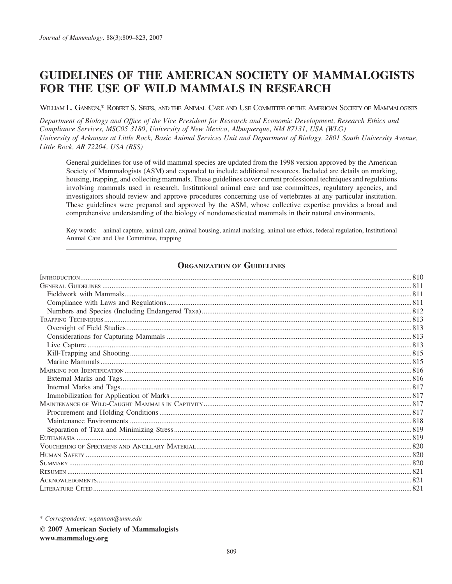# GUIDELINES OF THE AMERICAN SOCIETY OF MAMMALOGISTS FOR THE USE OF WILD MAMMALS IN RESEARCH

WILLIAM L. GANNON,\* ROBERT S. SIKES, AND THE ANIMAL CARE AND USE COMMITTEE OF THE AMERICAN SOCIETY OF MAMMALOGISTS

Department of Biology and Office of the Vice President for Research and Economic Development, Research Ethics and Compliance Services, MSC05 3180, University of New Mexico, Albuquerque, NM 87131, USA (WLG) University of Arkansas at Little Rock, Basic Animal Services Unit and Department of Biology, 2801 South University Avenue, Little Rock, AR 72204, USA (RSS)

General guidelines for use of wild mammal species are updated from the 1998 version approved by the American Society of Mammalogists (ASM) and expanded to include additional resources. Included are details on marking, housing, trapping, and collecting mammals. These guidelines cover current professional techniques and regulations involving mammals used in research. Institutional animal care and use committees, regulatory agencies, and investigators should review and approve procedures concerning use of vertebrates at any particular institution. These guidelines were prepared and approved by the ASM, whose collective expertise provides a broad and comprehensive understanding of the biology of nondomesticated mammals in their natural environments.

Key words: animal capture, animal care, animal housing, animal marking, animal use ethics, federal regulation, Institutional Animal Care and Use Committee, trapping

## **ORGANIZATION OF GUIDELINES**

<sup>\*</sup> Correspondent: wgannon@unm.edu

2007 American Society of Mammalogists

www.mammalogy.org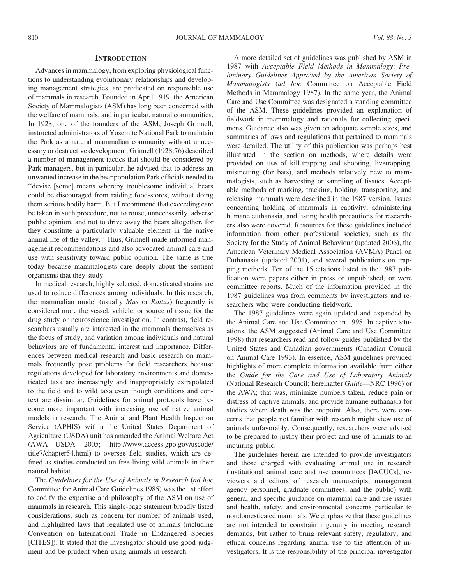#### **INTRODUCTION**

Advances in mammalogy, from exploring physiological functions to understanding evolutionary relationships and developing management strategies, are predicated on responsible use of mammals in research. Founded in April 1919, the American Society of Mammalogists (ASM) has long been concerned with the welfare of mammals, and in particular, natural communities. In 1928, one of the founders of the ASM, Joseph Grinnell, instructed administrators of Yosemite National Park to maintain the Park as a natural mammalian community without unnecessary or destructive development. Grinnell (1928:76) described a number of management tactics that should be considered by Park managers, but in particular, he advised that to address an unwanted increase in the bear population Park officials needed to ''devise [some] means whereby troublesome individual bears could be discouraged from raiding food-stores, without doing them serious bodily harm. But I recommend that exceeding care be taken in such procedure, not to rouse, unnecessarily, adverse public opinion, and not to drive away the bears altogether, for they constitute a particularly valuable element in the native animal life of the valley.'' Thus, Grinnell made informed management recommendations and also advocated animal care and use with sensitivity toward public opinion. The same is true today because mammalogists care deeply about the sentient organisms that they study.

In medical research, highly selected, domesticated strains are used to reduce differences among individuals. In this research, the mammalian model (usually Mus or Rattus) frequently is considered more the vessel, vehicle, or source of tissue for the drug study or neuroscience investigation. In contrast, field researchers usually are interested in the mammals themselves as the focus of study, and variation among individuals and natural behaviors are of fundamental interest and importance. Differences between medical research and basic research on mammals frequently pose problems for field researchers because regulations developed for laboratory environments and domesticated taxa are increasingly and inappropriately extrapolated to the field and to wild taxa even though conditions and context are dissimilar. Guidelines for animal protocols have become more important with increasing use of native animal models in research. The Animal and Plant Health Inspection Service (APHIS) within the United States Department of Agriculture (USDA) unit has amended the Animal Welfare Act (AWA—USDA 2005; http://www.access.gpo.gov/uscode/ title7/chapter54.html) to oversee field studies, which are defined as studies conducted on free-living wild animals in their natural habitat.

The Guidelines for the Use of Animals in Research (ad hoc Committee for Animal Care Guidelines 1985) was the 1st effort to codify the expertise and philosophy of the ASM on use of mammals in research. This single-page statement broadly listed considerations, such as concern for number of animals used, and highlighted laws that regulated use of animals (including Convention on International Trade in Endangered Species [CITES]). It stated that the investigator should use good judgment and be prudent when using animals in research.

A more detailed set of guidelines was published by ASM in 1987 with Acceptable Field Methods in Mammalogy: Preliminary Guidelines Approved by the American Society of Mammalogists (ad hoc Committee on Acceptable Field Methods in Mammalogy 1987). In the same year, the Animal Care and Use Committee was designated a standing committee of the ASM. These guidelines provided an explanation of fieldwork in mammalogy and rationale for collecting specimens. Guidance also was given on adequate sample sizes, and summaries of laws and regulations that pertained to mammals were detailed. The utility of this publication was perhaps best illustrated in the section on methods, where details were provided on use of kill-trapping and shooting, livetrapping, mistnetting (for bats), and methods relatively new to mammalogists, such as harvesting or sampling of tissues. Acceptable methods of marking, tracking, holding, transporting, and releasing mammals were described in the 1987 version. Issues concerning holding of mammals in captivity, administering humane euthanasia, and listing health precautions for researchers also were covered. Resources for these guidelines included information from other professional societies, such as the Society for the Study of Animal Behaviour (updated 2006), the American Veterinary Medical Association (AVMA) Panel on Euthanasia (updated 2001), and several publications on trapping methods. Ten of the 15 citations listed in the 1987 publication were papers either in press or unpublished, or were committee reports. Much of the information provided in the 1987 guidelines was from comments by investigators and researchers who were conducting fieldwork.

The 1987 guidelines were again updated and expanded by the Animal Care and Use Committee in 1998. In captive situations, the ASM suggested (Animal Care and Use Committee 1998) that researchers read and follow guides published by the United States and Canadian governments (Canadian Council on Animal Care 1993). In essence, ASM guidelines provided highlights of more complete information available from either the Guide for the Care and Use of Laboratory Animals (National Research Council; hereinafter Guide—NRC 1996) or the AWA; that was, minimize numbers taken, reduce pain or distress of captive animals, and provide humane euthanasia for studies where death was the endpoint. Also, there were concerns that people not familiar with research might view use of animals unfavorably. Consequently, researchers were advised to be prepared to justify their project and use of animals to an inquiring public.

The guidelines herein are intended to provide investigators and those charged with evaluating animal use in research (institutional animal care and use committees [IACUCs], reviewers and editors of research manuscripts, management agency personnel, graduate committees, and the public) with general and specific guidance on mammal care and use issues and health, safety, and environmental concerns particular to nondomesticated mammals. We emphasize that these guidelines are not intended to constrain ingenuity in meeting research demands, but rather to bring relevant safety, regulatory, and ethical concerns regarding animal use to the attention of investigators. It is the responsibility of the principal investigator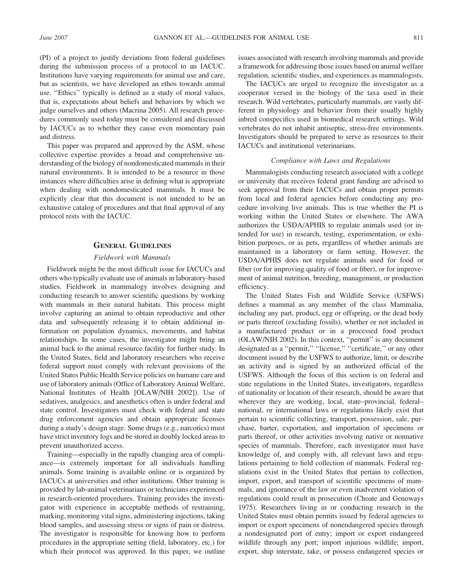(PI) of a project to justify deviations from federal guidelines during the submission process of a protocol to an IACUC. Institutions have varying requirements for animal use and care, but as scientists, we have developed an ethos towards animal use. ''Ethics'' typically is defined as a study of moral values, that is, expectations about beliefs and behaviors by which we judge ourselves and others (Macrina 2005). All research procedures commonly used today must be considered and discussed by IACUCs as to whether they cause even momentary pain and distress.

This paper was prepared and approved by the ASM, whose collective expertise provides a broad and comprehensive understanding of the biology of nondomesticated mammals in their natural environments. It is intended to be a resource in those instances where difficulties arise in defining what is appropriate when dealing with nondomesticated mammals. It must be explicitly clear that this document is not intended to be an exhaustive catalog of procedures and that final approval of any protocol rests with the IACUC.

#### GENERAL GUIDELINES

#### Fieldwork with Mammals

Fieldwork might be the most difficult issue for IACUCs and others who typically evaluate use of animals in laboratory-based studies. Fieldwork in mammalogy involves designing and conducting research to answer scientific questions by working with mammals in their natural habitats. This process might involve capturing an animal to obtain reproductive and other data and subsequently releasing it to obtain additional information on population dynamics, movements, and habitat relationships. In some cases, the investigator might bring an animal back to the animal resource facility for further study. In the United States, field and laboratory researchers who receive federal support must comply with relevant provisions of the United States Public Health Service policies on humane care and use of laboratory animals (Office of Laboratory Animal Welfare, National Institutes of Health [OLAW/NIH 2002]). Use of sedatives, analgesics, and anesthetics often is under federal and state control. Investigators must check with federal and state drug enforcement agencies and obtain appropriate licenses during a study's design stage. Some drugs (e.g., narcotics) must have strict inventory logs and be stored in doubly locked areas to prevent unauthorized access.

Training—especially in the rapidly changing area of compliance—is extremely important for all individuals handling animals. Some training is available online or is organized by IACUCs at universities and other institutions. Other training is provided by lab-animal veterinarians or technicians experienced in research-oriented procedures. Training provides the investigator with experience in acceptable methods of restraining, marking, monitoring vital signs, administering injections, taking blood samples, and assessing stress or signs of pain or distress. The investigator is responsible for knowing how to perform procedures in the appropriate setting (field, laboratory, etc.) for which their protocol was approved. In this paper, we outline

issues associated with research involving mammals and provide a framework for addressing those issues based on animal welfare regulation, scientific studies, and experiences as mammalogists.

The IACUCs are urged to recognize the investigator as a cooperator versed in the biology of the taxa used in their research. Wild vertebrates, particularly mammals, are vastly different in physiology and behavior from their usually highly inbred conspecifics used in biomedical research settings. Wild vertebrates do not inhabit antiseptic, stress-free environments. Investigators should be prepared to serve as resources to their IACUCs and institutional veterinarians.

#### Compliance with Laws and Regulations

Mammalogists conducting research associated with a college or university that receives federal grant funding are advised to seek approval from their IACUCs and obtain proper permits from local and federal agencies before conducting any procedure involving live animals. This is true whether the PI is working within the United States or elsewhere. The AWA authorizes the USDA/APHIS to regulate animals used (or intended for use) in research, testing, experimentation, or exhibition purposes, or as pets, regardless of whether animals are maintained in a laboratory or farm setting. However, the USDA/APHIS does not regulate animals used for food or fiber (or for improving quality of food or fiber), or for improvement of animal nutrition, breeding, management, or production efficiency.

The United States Fish and Wildlife Service (USFWS) defines a mammal as any member of the class Mammalia, including any part, product, egg or offspring, or the dead body or parts thereof (excluding fossils), whether or not included in a manufactured product or in a processed food product (OLAW/NIH 2002). In this context, ''permit'' is any document designated as a ''permit,'' ''license,'' ''certificate,'' or any other document issued by the USFWS to authorize, limit, or describe an activity and is signed by an authorized official of the USFWS. Although the focus of this section is on federal and state regulations in the United States, investigators, regardless of nationality or location of their research, should be aware that wherever they are working, local, state–provincial, federal– national, or international laws or regulations likely exist that pertain to scientific collecting, transport, possession, sale, purchase, barter, exportation, and importation of specimens or parts thereof, or other activities involving native or nonnative species of mammals. Therefore, each investigator must have knowledge of, and comply with, all relevant laws and regulations pertaining to field collection of mammals. Federal regulations exist in the United States that pertain to collection, import, export, and transport of scientific specimens of mammals, and ignorance of the law or even inadvertent violation of regulations could result in prosecution (Choate and Genoways 1975). Researchers living in or conducting research in the United States must obtain permits issued by federal agencies to import or export specimens of nonendangered species through a nondesignated port of entry; import or export endangered wildlife through any port; import injurious wildlife; import, export, ship interstate, take, or possess endangered species or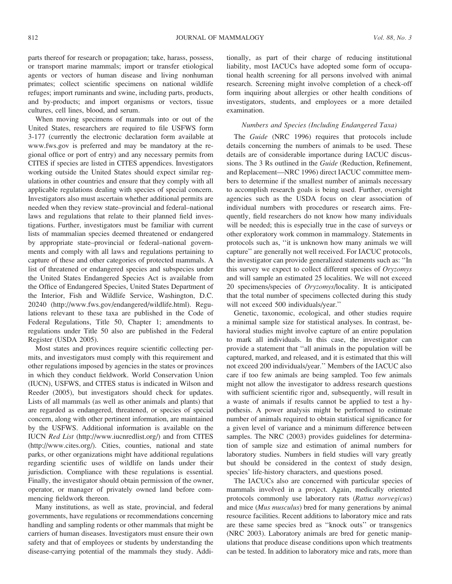parts thereof for research or propagation; take, harass, possess, or transport marine mammals; import or transfer etiological agents or vectors of human disease and living nonhuman primates; collect scientific specimens on national wildlife refuges; import ruminants and swine, including parts, products, and by-products; and import organisms or vectors, tissue cultures, cell lines, blood, and serum.

When moving specimens of mammals into or out of the United States, researchers are required to file USFWS form 3-177 (currently the electronic declaration form available at www.fws.gov is preferred and may be mandatory at the regional office or port of entry) and any necessary permits from CITES if species are listed in CITES appendices. Investigators working outside the United States should expect similar regulations in other countries and ensure that they comply with all applicable regulations dealing with species of special concern. Investigators also must ascertain whether additional permits are needed when they review state–provincial and federal–national laws and regulations that relate to their planned field investigations. Further, investigators must be familiar with current lists of mammalian species deemed threatened or endangered by appropriate state–provincial or federal–national governments and comply with all laws and regulations pertaining to capture of these and other categories of protected mammals. A list of threatened or endangered species and subspecies under the United States Endangered Species Act is available from the Office of Endangered Species, United States Department of the Interior, Fish and Wildlife Service, Washington, D.C. 20240 (http://www.fws.gov/endangered/wildlife.html). Regulations relevant to these taxa are published in the Code of Federal Regulations, Title 50, Chapter 1; amendments to regulations under Title 50 also are published in the Federal Register (USDA 2005).

Most states and provinces require scientific collecting permits, and investigators must comply with this requirement and other regulations imposed by agencies in the states or provinces in which they conduct fieldwork. World Conservation Union (IUCN), USFWS, and CITES status is indicated in Wilson and Reeder (2005), but investigators should check for updates. Lists of all mammals (as well as other animals and plants) that are regarded as endangered, threatened, or species of special concern, along with other pertinent information, are maintained by the USFWS. Additional information is available on the IUCN Red List (http://www.iucnredlist.org/) and from CITES (http://www.cites.org/). Cities, counties, national and state parks, or other organizations might have additional regulations regarding scientific uses of wildlife on lands under their jurisdiction. Compliance with these regulations is essential. Finally, the investigator should obtain permission of the owner, operator, or manager of privately owned land before commencing fieldwork thereon.

Many institutions, as well as state, provincial, and federal governments, have regulations or recommendations concerning handling and sampling rodents or other mammals that might be carriers of human diseases. Investigators must ensure their own safety and that of employees or students by understanding the disease-carrying potential of the mammals they study. Additionally, as part of their charge of reducing institutional liability, most IACUCs have adopted some form of occupational health screening for all persons involved with animal research. Screening might involve completion of a check-off form inquiring about allergies or other health conditions of investigators, students, and employees or a more detailed examination.

## Numbers and Species (Including Endangered Taxa)

The Guide (NRC 1996) requires that protocols include details concerning the numbers of animals to be used. These details are of considerable importance during IACUC discussions. The 3 Rs outlined in the *Guide* (Reduction, Refinement, and Replacement—NRC 1996) direct IACUC committee members to determine if the smallest number of animals necessary to accomplish research goals is being used. Further, oversight agencies such as the USDA focus on clear association of individual numbers with procedures or research aims. Frequently, field researchers do not know how many individuals will be needed; this is especially true in the case of surveys or other exploratory work common in mammalogy. Statements in protocols such as, ''it is unknown how many animals we will capture'' are generally not well received. For IACUC protocols, the investigator can provide generalized statements such as: ''In this survey we expect to collect different species of Oryzomys and will sample an estimated 25 localities. We will not exceed 20 specimens/species of Oryzomys/locality. It is anticipated that the total number of specimens collected during this study will not exceed 500 individuals/year.''

Genetic, taxonomic, ecological, and other studies require a minimal sample size for statistical analyses. In contrast, behavioral studies might involve capture of an entire population to mark all individuals. In this case, the investigator can provide a statement that ''all animals in the population will be captured, marked, and released, and it is estimated that this will not exceed 200 individuals/year.'' Members of the IACUC also care if too few animals are being sampled. Too few animals might not allow the investigator to address research questions with sufficient scientific rigor and, subsequently, will result in a waste of animals if results cannot be applied to test a hypothesis. A power analysis might be performed to estimate number of animals required to obtain statistical significance for a given level of variance and a minimum difference between samples. The NRC (2003) provides guidelines for determination of sample size and estimation of animal numbers for laboratory studies. Numbers in field studies will vary greatly but should be considered in the context of study design, species' life-history characters, and questions posed.

The IACUCs also are concerned with particular species of mammals involved in a project. Again, medically oriented protocols commonly use laboratory rats (Rattus norvegicus) and mice (Mus musculus) bred for many generations by animal resource facilities. Recent additions to laboratory mice and rats are these same species bred as ''knock outs'' or transgenics (NRC 2003). Laboratory animals are bred for genetic manipulations that produce disease conditions upon which treatments can be tested. In addition to laboratory mice and rats, more than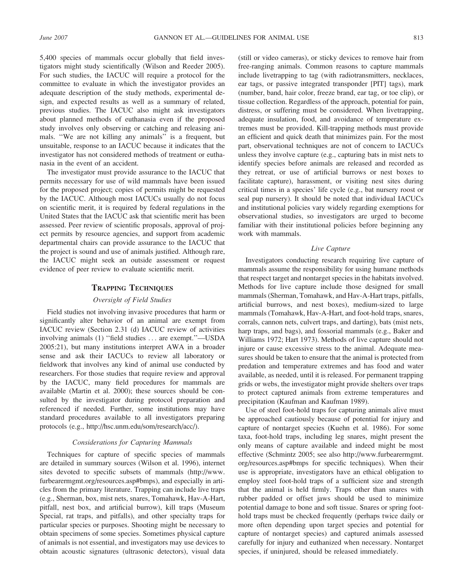5,400 species of mammals occur globally that field investigators might study scientifically (Wilson and Reeder 2005). For such studies, the IACUC will require a protocol for the committee to evaluate in which the investigator provides an adequate description of the study methods, experimental design, and expected results as well as a summary of related, previous studies. The IACUC also might ask investigators about planned methods of euthanasia even if the proposed study involves only observing or catching and releasing animals. ''We are not killing any animals'' is a frequent, but unsuitable, response to an IACUC because it indicates that the investigator has not considered methods of treatment or euthanasia in the event of an accident.

The investigator must provide assurance to the IACUC that permits necessary for use of wild mammals have been issued for the proposed project; copies of permits might be requested by the IACUC. Although most IACUCs usually do not focus on scientific merit, it is required by federal regulations in the United States that the IACUC ask that scientific merit has been assessed. Peer review of scientific proposals, approval of project permits by resource agencies, and support from academic departmental chairs can provide assurance to the IACUC that the project is sound and use of animals justified. Although rare, the IACUC might seek an outside assessment or request evidence of peer review to evaluate scientific merit.

#### TRAPPING TECHNIQUES

#### Oversight of Field Studies

Field studies not involving invasive procedures that harm or significantly alter behavior of an animal are exempt from IACUC review (Section 2.31 (d) IACUC review of activities involving animals (1) ''field studies ... are exempt.''—USDA 2005:21), but many institutions interpret AWA in a broader sense and ask their IACUCs to review all laboratory or fieldwork that involves any kind of animal use conducted by researchers. For those studies that require review and approval by the IACUC, many field procedures for mammals are available (Martin et al. 2000); these sources should be consulted by the investigator during protocol preparation and referenced if needed. Further, some institutions may have standard procedures available to all investigators preparing protocols (e.g., http://hsc.unm.edu/som/research/acc/).

#### Considerations for Capturing Mammals

Techniques for capture of specific species of mammals are detailed in summary sources (Wilson et al. 1996), internet sites devoted to specific subsets of mammals (http://www. furbearermgmt.org/resources.asp#bmps), and especially in articles from the primary literature. Trapping can include live traps (e.g., Sherman, box, mist nets, snares, Tomahawk, Hav-A-Hart, pitfall, nest box, and artificial burrow), kill traps (Museum Special, rat traps, and pitfalls), and other specialty traps for particular species or purposes. Shooting might be necessary to obtain specimens of some species. Sometimes physical capture of animals is not essential, and investigators may use devices to obtain acoustic signatures (ultrasonic detectors), visual data (still or video cameras), or sticky devices to remove hair from free-ranging animals. Common reasons to capture mammals include livetrapping to tag (with radiotransmitters, necklaces, ear tags, or passive integrated transponder [PIT] tags), mark (number, band, hair color, freeze brand, ear tag, or toe clip), or tissue collection. Regardless of the approach, potential for pain, distress, or suffering must be considered. When livetrapping, adequate insulation, food, and avoidance of temperature extremes must be provided. Kill-trapping methods must provide an efficient and quick death that minimizes pain. For the most part, observational techniques are not of concern to IACUCs unless they involve capture (e.g., capturing bats in mist nets to identify species before animals are released and recorded as they retreat, or use of artificial burrows or nest boxes to facilitate capture), harassment, or visiting nest sites during critical times in a species' life cycle (e.g., bat nursery roost or seal pup nursery). It should be noted that individual IACUCs and institutional policies vary widely regarding exemptions for observational studies, so investigators are urged to become familiar with their institutional policies before beginning any work with mammals.

#### Live Capture

Investigators conducting research requiring live capture of mammals assume the responsibility for using humane methods that respect target and nontarget species in the habitats involved. Methods for live capture include those designed for small mammals (Sherman, Tomahawk, and Hav-A-Hart traps, pitfalls, artificial burrows, and nest boxes), medium-sized to large mammals (Tomahawk, Hav-A-Hart, and foot-hold traps, snares, corrals, cannon nets, culvert traps, and darting), bats (mist nets, harp traps, and bags), and fossorial mammals (e.g., Baker and Williams 1972; Hart 1973). Methods of live capture should not injure or cause excessive stress to the animal. Adequate measures should be taken to ensure that the animal is protected from predation and temperature extremes and has food and water available, as needed, until it is released. For permanent trapping grids or webs, the investigator might provide shelters over traps to protect captured animals from extreme temperatures and precipitation (Kaufman and Kaufman 1989).

Use of steel foot-hold traps for capturing animals alive must be approached cautiously because of potential for injury and capture of nontarget species (Kuehn et al. 1986). For some taxa, foot-hold traps, including leg snares, might present the only means of capture available and indeed might be most effective (Schmintz 2005; see also http://www.furbearermgmt. org/resources.asp#bmps for specific techniques). When their use is appropriate, investigators have an ethical obligation to employ steel foot-hold traps of a sufficient size and strength that the animal is held firmly. Traps other than snares with rubber padded or offset jaws should be used to minimize potential damage to bone and soft tissue. Snares or spring foothold traps must be checked frequently (perhaps twice daily or more often depending upon target species and potential for capture of nontarget species) and captured animals assessed carefully for injury and euthanized when necessary. Nontarget species, if uninjured, should be released immediately.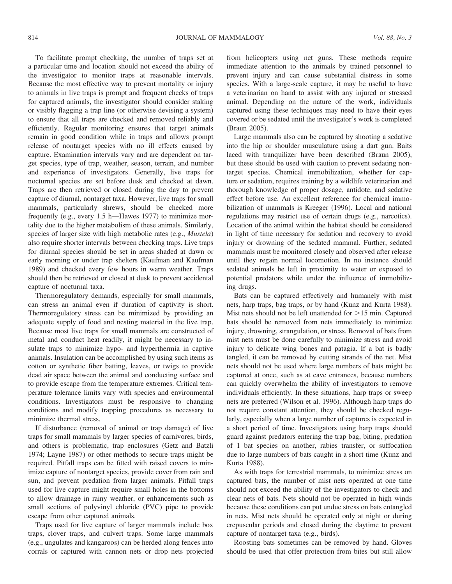To facilitate prompt checking, the number of traps set at a particular time and location should not exceed the ability of the investigator to monitor traps at reasonable intervals. Because the most effective way to prevent mortality or injury to animals in live traps is prompt and frequent checks of traps for captured animals, the investigator should consider staking or visibly flagging a trap line (or otherwise devising a system) to ensure that all traps are checked and removed reliably and efficiently. Regular monitoring ensures that target animals remain in good condition while in traps and allows prompt release of nontarget species with no ill effects caused by capture. Examination intervals vary and are dependent on target species, type of trap, weather, season, terrain, and number and experience of investigators. Generally, live traps for nocturnal species are set before dusk and checked at dawn. Traps are then retrieved or closed during the day to prevent capture of diurnal, nontarget taxa. However, live traps for small mammals, particularly shrews, should be checked more frequently (e.g., every 1.5 h—Hawes 1977) to minimize mortality due to the higher metabolism of these animals. Similarly, species of larger size with high metabolic rates (e.g., Mustela) also require shorter intervals between checking traps. Live traps for diurnal species should be set in areas shaded at dawn or early morning or under trap shelters (Kaufman and Kaufman 1989) and checked every few hours in warm weather. Traps should then be retrieved or closed at dusk to prevent accidental capture of nocturnal taxa.

Thermoregulatory demands, especially for small mammals, can stress an animal even if duration of captivity is short. Thermoregulatory stress can be minimized by providing an adequate supply of food and nesting material in the live trap. Because most live traps for small mammals are constructed of metal and conduct heat readily, it might be necessary to insulate traps to minimize hypo- and hyperthermia in captive animals. Insulation can be accomplished by using such items as cotton or synthetic fiber batting, leaves, or twigs to provide dead air space between the animal and conducting surface and to provide escape from the temperature extremes. Critical temperature tolerance limits vary with species and environmental conditions. Investigators must be responsive to changing conditions and modify trapping procedures as necessary to minimize thermal stress.

If disturbance (removal of animal or trap damage) of live traps for small mammals by larger species of carnivores, birds, and others is problematic, trap enclosures (Getz and Batzli 1974; Layne 1987) or other methods to secure traps might be required. Pitfall traps can be fitted with raised covers to minimize capture of nontarget species, provide cover from rain and sun, and prevent predation from larger animals. Pitfall traps used for live capture might require small holes in the bottoms to allow drainage in rainy weather, or enhancements such as small sections of polyvinyl chloride (PVC) pipe to provide escape from other captured animals.

Traps used for live capture of larger mammals include box traps, clover traps, and culvert traps. Some large mammals (e.g., ungulates and kangaroos) can be herded along fences into corrals or captured with cannon nets or drop nets projected from helicopters using net guns. These methods require immediate attention to the animals by trained personnel to prevent injury and can cause substantial distress in some species. With a large-scale capture, it may be useful to have a veterinarian on hand to assist with any injured or stressed animal. Depending on the nature of the work, individuals captured using these techniques may need to have their eyes covered or be sedated until the investigator's work is completed (Braun 2005).

Large mammals also can be captured by shooting a sedative into the hip or shoulder musculature using a dart gun. Baits laced with tranquilizer have been described (Braun 2005), but these should be used with caution to prevent sedating nontarget species. Chemical immobilization, whether for capture or sedation, requires training by a wildlife veterinarian and thorough knowledge of proper dosage, antidote, and sedative effect before use. An excellent reference for chemical immobilization of mammals is Kreeger (1996). Local and national regulations may restrict use of certain drugs (e.g., narcotics). Location of the animal within the habitat should be considered in light of time necessary for sedation and recovery to avoid injury or drowning of the sedated mammal. Further, sedated mammals must be monitored closely and observed after release until they regain normal locomotion. In no instance should sedated animals be left in proximity to water or exposed to potential predators while under the influence of immobilizing drugs.

Bats can be captured effectively and humanely with mist nets, harp traps, bag traps, or by hand (Kunz and Kurta 1988). Mist nets should not be left unattended for  $>15$  min. Captured bats should be removed from nets immediately to minimize injury, drowning, strangulation, or stress. Removal of bats from mist nets must be done carefully to minimize stress and avoid injury to delicate wing bones and patagia. If a bat is badly tangled, it can be removed by cutting strands of the net. Mist nets should not be used where large numbers of bats might be captured at once, such as at cave entrances, because numbers can quickly overwhelm the ability of investigators to remove individuals efficiently. In these situations, harp traps or sweep nets are preferred (Wilson et al. 1996). Although harp traps do not require constant attention, they should be checked regularly, especially when a large number of captures is expected in a short period of time. Investigators using harp traps should guard against predators entering the trap bag, biting, predation of 1 bat species on another, rabies transfer, or suffocation due to large numbers of bats caught in a short time (Kunz and Kurta 1988).

As with traps for terrestrial mammals, to minimize stress on captured bats, the number of mist nets operated at one time should not exceed the ability of the investigators to check and clear nets of bats. Nets should not be operated in high winds because these conditions can put undue stress on bats entangled in nets. Mist nets should be operated only at night or during crepuscular periods and closed during the daytime to prevent capture of nontarget taxa (e.g., birds).

Roosting bats sometimes can be removed by hand. Gloves should be used that offer protection from bites but still allow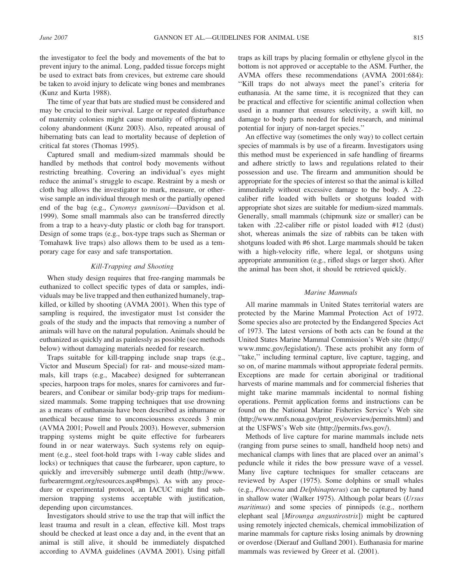the investigator to feel the body and movements of the bat to prevent injury to the animal. Long, padded tissue forceps might be used to extract bats from crevices, but extreme care should be taken to avoid injury to delicate wing bones and membranes (Kunz and Kurta 1988).

The time of year that bats are studied must be considered and may be crucial to their survival. Large or repeated disturbance of maternity colonies might cause mortality of offspring and colony abandonment (Kunz 2003). Also, repeated arousal of hibernating bats can lead to mortality because of depletion of critical fat stores (Thomas 1995).

Captured small and medium-sized mammals should be handled by methods that control body movements without restricting breathing. Covering an individual's eyes might reduce the animal's struggle to escape. Restraint by a mesh or cloth bag allows the investigator to mark, measure, or otherwise sample an individual through mesh or the partially opened end of the bag (e.g., Cynomys gunnisoni—Davidson et al. 1999). Some small mammals also can be transferred directly from a trap to a heavy-duty plastic or cloth bag for transport. Design of some traps (e.g., box-type traps such as Sherman or Tomahawk live traps) also allows them to be used as a temporary cage for easy and safe transportation.

#### Kill-Trapping and Shooting

When study design requires that free-ranging mammals be euthanized to collect specific types of data or samples, individuals may be live trapped and then euthanized humanely, trapkilled, or killed by shooting (AVMA 2001). When this type of sampling is required, the investigator must 1st consider the goals of the study and the impacts that removing a number of animals will have on the natural population. Animals should be euthanized as quickly and as painlessly as possible (see methods below) without damaging materials needed for research.

Traps suitable for kill-trapping include snap traps (e.g., Victor and Museum Special) for rat- and mouse-sized mammals, kill traps (e.g., Macabee) designed for subterranean species, harpoon traps for moles, snares for carnivores and furbearers, and Conibear or similar body-grip traps for mediumsized mammals. Some trapping techniques that use drowning as a means of euthanasia have been described as inhumane or unethical because time to unconsciousness exceeds 3 min (AVMA 2001; Powell and Proulx 2003). However, submersion trapping systems might be quite effective for furbearers found in or near waterways. Such systems rely on equipment (e.g., steel foot-hold traps with 1-way cable slides and locks) or techniques that cause the furbearer, upon capture, to quickly and irreversibly submerge until death (http://www. furbearermgmt.org/resources.asp#bmps). As with any procedure or experimental protocol, an IACUC might find submersion trapping systems acceptable with justification, depending upon circumstances.

Investigators should strive to use the trap that will inflict the least trauma and result in a clean, effective kill. Most traps should be checked at least once a day and, in the event that an animal is still alive, it should be immediately dispatched according to AVMA guidelines (AVMA 2001). Using pitfall traps as kill traps by placing formalin or ethylene glycol in the bottom is not approved or acceptable to the ASM. Further, the AVMA offers these recommendations (AVMA 2001:684): ''Kill traps do not always meet the panel's criteria for euthanasia. At the same time, it is recognized that they can be practical and effective for scientific animal collection when used in a manner that ensures selectivity, a swift kill, no damage to body parts needed for field research, and minimal potential for injury of non-target species.''

An effective way (sometimes the only way) to collect certain species of mammals is by use of a firearm. Investigators using this method must be experienced in safe handling of firearms and adhere strictly to laws and regulations related to their possession and use. The firearm and ammunition should be appropriate for the species of interest so that the animal is killed immediately without excessive damage to the body. A .22 caliber rifle loaded with bullets or shotguns loaded with appropriate shot sizes are suitable for medium-sized mammals. Generally, small mammals (chipmunk size or smaller) can be taken with .22-caliber rifle or pistol loaded with #12 (dust) shot, whereas animals the size of rabbits can be taken with shotguns loaded with #6 shot. Large mammals should be taken with a high-velocity rifle, where legal, or shotguns using appropriate ammunition (e.g., rifled slugs or larger shot). After the animal has been shot, it should be retrieved quickly.

#### Marine Mammals

All marine mammals in United States territorial waters are protected by the Marine Mammal Protection Act of 1972. Some species also are protected by the Endangered Species Act of 1973. The latest versions of both acts can be found at the United States Marine Mammal Commission's Web site (http:// www.mmc.gov/legislation/). These acts prohibit any form of ''take,'' including terminal capture, live capture, tagging, and so on, of marine mammals without appropriate federal permits. Exceptions are made for certain aboriginal or traditional harvests of marine mammals and for commercial fisheries that might take marine mammals incidental to normal fishing operations. Permit application forms and instructions can be found on the National Marine Fisheries Service's Web site (http://www.nmfs.noaa.gov/prot\_res/overview/permits.html) and at the USFWS's Web site (http://permits.fws.gov/).

Methods of live capture for marine mammals include nets (ranging from purse seines to small, handheld hoop nets) and mechanical clamps with lines that are placed over an animal's peduncle while it rides the bow pressure wave of a vessel. Many live capture techniques for smaller cetaceans are reviewed by Asper (1975). Some dolphins or small whales (e.g., Phocoena and Delphinapterus) can be captured by hand in shallow water (Walker 1975). Although polar bears (Ursus maritimus) and some species of pinnipeds (e.g., northern elephant seal [Mirounga angustirostris]) might be captured using remotely injected chemicals, chemical immobilization of marine mammals for capture risks losing animals by drowning or overdose (Dierauf and Gulland 2001). Euthanasia for marine mammals was reviewed by Greer et al. (2001).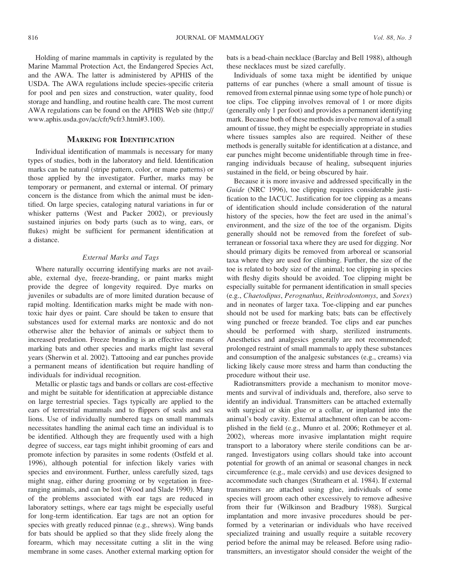Holding of marine mammals in captivity is regulated by the Marine Mammal Protection Act, the Endangered Species Act, and the AWA. The latter is administered by APHIS of the USDA. The AWA regulations include species-specific criteria for pool and pen sizes and construction, water quality, food storage and handling, and routine health care. The most current AWA regulations can be found on the APHIS Web site (http:// www.aphis.usda.gov/ac/cfr/9cfr3.html#3.100).

### MARKING FOR IDENTIFICATION

Individual identification of mammals is necessary for many types of studies, both in the laboratory and field. Identification marks can be natural (stripe pattern, color, or mane patterns) or those applied by the investigator. Further, marks may be temporary or permanent, and external or internal. Of primary concern is the distance from which the animal must be identified. On large species, cataloging natural variations in fur or whisker patterns (West and Packer 2002), or previously sustained injuries on body parts (such as to wing, ears, or flukes) might be sufficient for permanent identification at a distance.

#### External Marks and Tags

Where naturally occurring identifying marks are not available, external dye, freeze-branding, or paint marks might provide the degree of longevity required. Dye marks on juveniles or subadults are of more limited duration because of rapid molting. Identification marks might be made with nontoxic hair dyes or paint. Care should be taken to ensure that substances used for external marks are nontoxic and do not otherwise alter the behavior of animals or subject them to increased predation. Freeze branding is an effective means of marking bats and other species and marks might last several years (Sherwin et al. 2002). Tattooing and ear punches provide a permanent means of identification but require handling of individuals for individual recognition.

Metallic or plastic tags and bands or collars are cost-effective and might be suitable for identification at appreciable distance on large terrestrial species. Tags typically are applied to the ears of terrestrial mammals and to flippers of seals and sea lions. Use of individually numbered tags on small mammals necessitates handling the animal each time an individual is to be identified. Although they are frequently used with a high degree of success, ear tags might inhibit grooming of ears and promote infection by parasites in some rodents (Ostfeld et al. 1996), although potential for infection likely varies with species and environment. Further, unless carefully sized, tags might snag, either during grooming or by vegetation in freeranging animals, and can be lost (Wood and Slade 1990). Many of the problems associated with ear tags are reduced in laboratory settings, where ear tags might be especially useful for long-term identification. Ear tags are not an option for species with greatly reduced pinnae (e.g., shrews). Wing bands for bats should be applied so that they slide freely along the forearm, which may necessitate cutting a slit in the wing membrane in some cases. Another external marking option for

bats is a bead-chain necklace (Barclay and Bell 1988), although these necklaces must be sized carefully.

Individuals of some taxa might be identified by unique patterns of ear punches (where a small amount of tissue is removed from external pinnae using some type of hole punch) or toe clips. Toe clipping involves removal of 1 or more digits (generally only 1 per foot) and provides a permanent identifying mark. Because both of these methods involve removal of a small amount of tissue, they might be especially appropriate in studies where tissues samples also are required. Neither of these methods is generally suitable for identification at a distance, and ear punches might become unidentifiable through time in freeranging individuals because of healing, subsequent injuries sustained in the field, or being obscured by hair.

Because it is more invasive and addressed specifically in the Guide (NRC 1996), toe clipping requires considerable justification to the IACUC. Justification for toe clipping as a means of identification should include consideration of the natural history of the species, how the feet are used in the animal's environment, and the size of the toe of the organism. Digits generally should not be removed from the forefeet of subterranean or fossorial taxa where they are used for digging. Nor should primary digits be removed from arboreal or scansorial taxa where they are used for climbing. Further, the size of the toe is related to body size of the animal; toe clipping in species with fleshy digits should be avoided. Toe clipping might be especially suitable for permanent identification in small species (e.g., Chaetodipus, Perognathus, Reithrodontomys, and Sorex) and in neonates of larger taxa. Toe-clipping and ear punches should not be used for marking bats; bats can be effectively wing punched or freeze branded. Toe clips and ear punches should be performed with sharp, sterilized instruments. Anesthetics and analgesics generally are not recommended; prolonged restraint of small mammals to apply these substances and consumption of the analgesic substances (e.g., creams) via licking likely cause more stress and harm than conducting the procedure without their use.

Radiotransmitters provide a mechanism to monitor movements and survival of individuals and, therefore, also serve to identify an individual. Transmitters can be attached externally with surgical or skin glue or a collar, or implanted into the animal's body cavity. External attachment often can be accomplished in the field (e.g., Munro et al. 2006; Rothmeyer et al. 2002), whereas more invasive implantation might require transport to a laboratory where sterile conditions can be arranged. Investigators using collars should take into account potential for growth of an animal or seasonal changes in neck circumference (e.g., male cervids) and use devices designed to accommodate such changes (Strathearn et al. 1984). If external transmitters are attached using glue, individuals of some species will groom each other excessively to remove adhesive from their fur (Wilkinson and Bradbury 1988). Surgical implantation and more invasive procedures should be performed by a veterinarian or individuals who have received specialized training and usually require a suitable recovery period before the animal may be released. Before using radiotransmitters, an investigator should consider the weight of the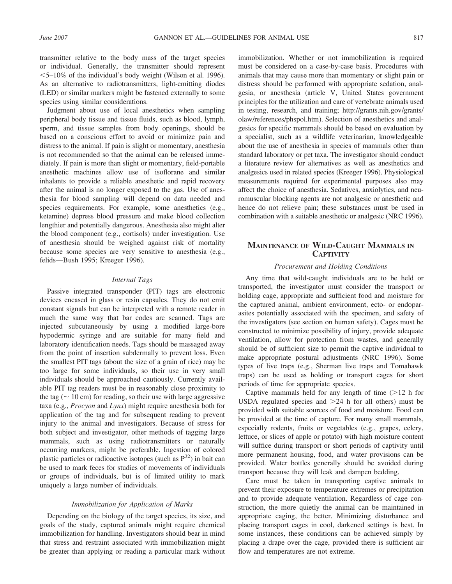transmitter relative to the body mass of the target species or individual. Generally, the transmitter should represent  $5-10\%$  of the individual's body weight (Wilson et al. 1996). As an alternative to radiotransmitters, light-emitting diodes (LED) or similar markers might be fastened externally to some species using similar considerations.

Judgment about use of local anesthetics when sampling peripheral body tissue and tissue fluids, such as blood, lymph, sperm, and tissue samples from body openings, should be based on a conscious effort to avoid or minimize pain and distress to the animal. If pain is slight or momentary, anesthesia is not recommended so that the animal can be released immediately. If pain is more than slight or momentary, field-portable anesthetic machines allow use of isoflorane and similar inhalants to provide a reliable anesthetic and rapid recovery after the animal is no longer exposed to the gas. Use of anesthesia for blood sampling will depend on data needed and species requirements. For example, some anesthetics (e.g., ketamine) depress blood pressure and make blood collection lengthier and potentially dangerous. Anesthesia also might alter the blood component (e.g., cortisols) under investigation. Use of anesthesia should be weighed against risk of mortality because some species are very sensitive to anesthesia (e.g., felids—Bush 1995; Kreeger 1996).

#### Internal Tags

Passive integrated transponder (PIT) tags are electronic devices encased in glass or resin capsules. They do not emit constant signals but can be interpreted with a remote reader in much the same way that bar codes are scanned. Tags are injected subcutaneously by using a modified large-bore hypodermic syringe and are suitable for many field and laboratory identification needs. Tags should be massaged away from the point of insertion subdermally to prevent loss. Even the smallest PIT tags (about the size of a grain of rice) may be too large for some individuals, so their use in very small individuals should be approached cautiously. Currently available PIT tag readers must be in reasonably close proximity to the tag ( $\sim 10$  cm) for reading, so their use with large aggressive taxa (e.g., Procyon and Lynx) might require anesthesia both for application of the tag and for subsequent reading to prevent injury to the animal and investigators. Because of stress for both subject and investigator, other methods of tagging large mammals, such as using radiotransmitters or naturally occurring markers, might be preferable. Ingestion of colored plastic particles or radioactive isotopes (such as  $P^{32}$ ) in bait can be used to mark feces for studies of movements of individuals or groups of individuals, but is of limited utility to mark uniquely a large number of individuals.

#### Immobilization for Application of Marks

Depending on the biology of the target species, its size, and goals of the study, captured animals might require chemical immobilization for handling. Investigators should bear in mind that stress and restraint associated with immobilization might be greater than applying or reading a particular mark without immobilization. Whether or not immobilization is required must be considered on a case-by-case basis. Procedures with animals that may cause more than momentary or slight pain or distress should be performed with appropriate sedation, analgesia, or anesthesia (article V, United States government principles for the utilization and care of vertebrate animals used in testing, research, and training; http://grants.nih.gov/grants/ olaw/references/phspol.htm). Selection of anesthetics and analgesics for specific mammals should be based on evaluation by a specialist, such as a wildlife veterinarian, knowledgeable about the use of anesthesia in species of mammals other than standard laboratory or pet taxa. The investigator should conduct a literature review for alternatives as well as anesthetics and analgesics used in related species (Kreeger 1996). Physiological measurements required for experimental purposes also may affect the choice of anesthesia. Sedatives, anxiolytics, and neuromuscular blocking agents are not analgesic or anesthetic and hence do not relieve pain; these substances must be used in combination with a suitable anesthetic or analgesic (NRC 1996).

## MAINTENANCE OF WILD-CAUGHT MAMMALS IN **CAPTIVITY**

#### Procurement and Holding Conditions

Any time that wild-caught individuals are to be held or transported, the investigator must consider the transport or holding cage, appropriate and sufficient food and moisture for the captured animal, ambient environment, ecto- or endoparasites potentially associated with the specimen, and safety of the investigators (see section on human safety). Cages must be constructed to minimize possibility of injury, provide adequate ventilation, allow for protection from wastes, and generally should be of sufficient size to permit the captive individual to make appropriate postural adjustments (NRC 1996). Some types of live traps (e.g., Sherman live traps and Tomahawk traps) can be used as holding or transport cages for short periods of time for appropriate species.

Captive mammals held for any length of time  $(>12$  h for USDA regulated species and  $>24$  h for all others) must be provided with suitable sources of food and moisture. Food can be provided at the time of capture. For many small mammals, especially rodents, fruits or vegetables (e.g., grapes, celery, lettuce, or slices of apple or potato) with high moisture content will suffice during transport or short periods of captivity until more permanent housing, food, and water provisions can be provided. Water bottles generally should be avoided during transport because they will leak and dampen bedding.

Care must be taken in transporting captive animals to prevent their exposure to temperature extremes or precipitation and to provide adequate ventilation. Regardless of cage construction, the more quietly the animal can be maintained in appropriate caging, the better. Minimizing disturbance and placing transport cages in cool, darkened settings is best. In some instances, these conditions can be achieved simply by placing a drape over the cage, provided there is sufficient air flow and temperatures are not extreme.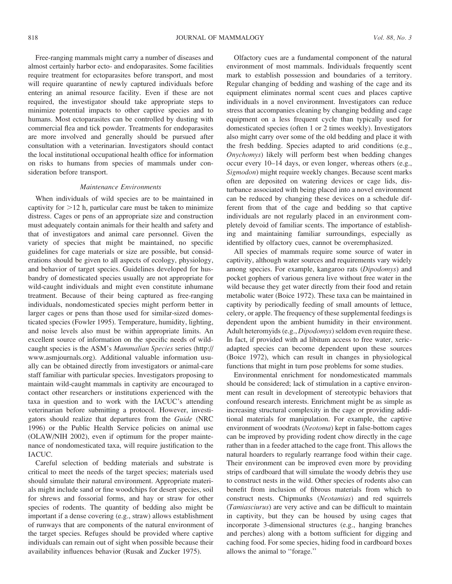Free-ranging mammals might carry a number of diseases and almost certainly harbor ecto- and endoparasites. Some facilities require treatment for ectoparasites before transport, and most will require quarantine of newly captured individuals before entering an animal resource facility. Even if these are not required, the investigator should take appropriate steps to minimize potential impacts to other captive species and to humans. Most ectoparasites can be controlled by dusting with commercial flea and tick powder. Treatments for endoparasites are more involved and generally should be pursued after consultation with a veterinarian. Investigators should contact the local institutional occupational health office for information on risks to humans from species of mammals under consideration before transport.

#### Maintenance Environments

When individuals of wild species are to be maintained in captivity for  $>12$  h, particular care must be taken to minimize distress. Cages or pens of an appropriate size and construction must adequately contain animals for their health and safety and that of investigators and animal care personnel. Given the variety of species that might be maintained, no specific guidelines for cage materials or size are possible, but considerations should be given to all aspects of ecology, physiology, and behavior of target species. Guidelines developed for husbandry of domesticated species usually are not appropriate for wild-caught individuals and might even constitute inhumane treatment. Because of their being captured as free-ranging individuals, nondomesticated species might perform better in larger cages or pens than those used for similar-sized domesticated species (Fowler 1995). Temperature, humidity, lighting, and noise levels also must be within appropriate limits. An excellent source of information on the specific needs of wildcaught species is the ASM's Mammalian Species series (http:// www.asmjournals.org). Additional valuable information usually can be obtained directly from investigators or animal-care staff familiar with particular species. Investigators proposing to maintain wild-caught mammals in captivity are encouraged to contact other researchers or institutions experienced with the taxa in question and to work with the IACUC's attending veterinarian before submitting a protocol. However, investigators should realize that departures from the Guide (NRC 1996) or the Public Health Service policies on animal use (OLAW/NIH 2002), even if optimum for the proper maintenance of nondomesticated taxa, will require justification to the IACUC.

Careful selection of bedding materials and substrate is critical to meet the needs of the target species; materials used should simulate their natural environment. Appropriate materials might include sand or fine woodchips for desert species, soil for shrews and fossorial forms, and hay or straw for other species of rodents. The quantity of bedding also might be important if a dense covering (e.g., straw) allows establishment of runways that are components of the natural environment of the target species. Refuges should be provided where captive individuals can remain out of sight when possible because their availability influences behavior (Rusak and Zucker 1975).

Olfactory cues are a fundamental component of the natural environment of most mammals. Individuals frequently scent mark to establish possession and boundaries of a territory. Regular changing of bedding and washing of the cage and its equipment eliminates normal scent cues and places captive individuals in a novel environment. Investigators can reduce stress that accompanies cleaning by changing bedding and cage equipment on a less frequent cycle than typically used for domesticated species (often 1 or 2 times weekly). Investigators also might carry over some of the old bedding and place it with the fresh bedding. Species adapted to arid conditions (e.g., Onychomys) likely will perform best when bedding changes occur every 10–14 days, or even longer, whereas others (e.g., Sigmodon) might require weekly changes. Because scent marks often are deposited on watering devices or cage lids, disturbance associated with being placed into a novel environment can be reduced by changing these devices on a schedule different from that of the cage and bedding so that captive individuals are not regularly placed in an environment completely devoid of familiar scents. The importance of establishing and maintaining familiar surroundings, especially as identified by olfactory cues, cannot be overemphasized.

All species of mammals require some source of water in captivity, although water sources and requirements vary widely among species. For example, kangaroo rats (Dipodomys) and pocket gophers of various genera live without free water in the wild because they get water directly from their food and retain metabolic water (Boice 1972). These taxa can be maintained in captivity by periodically feeding of small amounts of lettuce, celery, or apple. The frequency of these supplemental feedings is dependent upon the ambient humidity in their environment. Adult heteromyids (e.g., *Dipodomys*) seldom even require these. In fact, if provided with ad libitum access to free water, xericadapted species can become dependent upon these sources (Boice 1972), which can result in changes in physiological functions that might in turn pose problems for some studies.

Environmental enrichment for nondomesticated mammals should be considered; lack of stimulation in a captive environment can result in development of stereotypic behaviors that confound research interests. Enrichment might be as simple as increasing structural complexity in the cage or providing additional materials for manipulation. For example, the captive environment of woodrats (Neotoma) kept in false-bottom cages can be improved by providing rodent chow directly in the cage rather than in a feeder attached to the cage front. This allows the natural hoarders to regularly rearrange food within their cage. Their environment can be improved even more by providing strips of cardboard that will simulate the woody debris they use to construct nests in the wild. Other species of rodents also can benefit from inclusion of fibrous materials from which to construct nests. Chipmunks (Neotamias) and red squirrels (Tamiasciurus) are very active and can be difficult to maintain in captivity, but they can be housed by using cages that incorporate 3-dimensional structures (e.g., hanging branches and perches) along with a bottom sufficient for digging and caching food. For some species, hiding food in cardboard boxes allows the animal to ''forage.''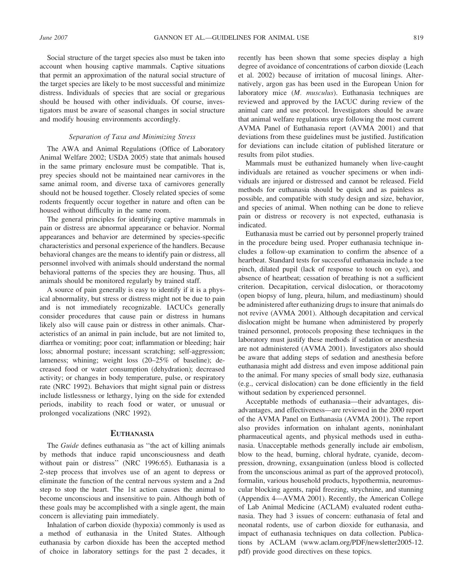Social structure of the target species also must be taken into account when housing captive mammals. Captive situations that permit an approximation of the natural social structure of the target species are likely to be most successful and minimize distress. Individuals of species that are social or gregarious should be housed with other individuals. Of course, investigators must be aware of seasonal changes in social structure and modify housing environments accordingly.

#### Separation of Taxa and Minimizing Stress

The AWA and Animal Regulations (Office of Laboratory Animal Welfare 2002; USDA 2005) state that animals housed in the same primary enclosure must be compatible. That is, prey species should not be maintained near carnivores in the same animal room, and diverse taxa of carnivores generally should not be housed together. Closely related species of some rodents frequently occur together in nature and often can be housed without difficulty in the same room.

The general principles for identifying captive mammals in pain or distress are abnormal appearance or behavior. Normal appearances and behavior are determined by species-specific characteristics and personal experience of the handlers. Because behavioral changes are the means to identify pain or distress, all personnel involved with animals should understand the normal behavioral patterns of the species they are housing. Thus, all animals should be monitored regularly by trained staff.

A source of pain generally is easy to identify if it is a physical abnormality, but stress or distress might not be due to pain and is not immediately recognizable. IACUCs generally consider procedures that cause pain or distress in humans likely also will cause pain or distress in other animals. Characteristics of an animal in pain include, but are not limited to, diarrhea or vomiting; poor coat; inflammation or bleeding; hair loss; abnormal posture; incessant scratching; self-aggression; lameness; whining; weight loss (20–25% of baseline); decreased food or water consumption (dehydration); decreased activity; or changes in body temperature, pulse, or respiratory rate (NRC 1992). Behaviors that might signal pain or distress include listlessness or lethargy, lying on the side for extended periods, inability to reach food or water, or unusual or prolonged vocalizations (NRC 1992).

#### **EUTHANASIA**

The *Guide* defines euthanasia as "the act of killing animals" by methods that induce rapid unconsciousness and death without pain or distress'' (NRC 1996:65). Euthanasia is a 2-step process that involves use of an agent to depress or eliminate the function of the central nervous system and a 2nd step to stop the heart. The 1st action causes the animal to become unconscious and insensitive to pain. Although both of these goals may be accomplished with a single agent, the main concern is alleviating pain immediately.

Inhalation of carbon dioxide (hypoxia) commonly is used as a method of euthanasia in the United States. Although euthanasia by carbon dioxide has been the accepted method of choice in laboratory settings for the past 2 decades, it recently has been shown that some species display a high degree of avoidance of concentrations of carbon dioxide (Leach et al. 2002) because of irritation of mucosal linings. Alternatively, argon gas has been used in the European Union for laboratory mice (M. musculus). Euthanasia techniques are reviewed and approved by the IACUC during review of the animal care and use protocol. Investigators should be aware that animal welfare regulations urge following the most current AVMA Panel of Euthanasia report (AVMA 2001) and that deviations from these guidelines must be justified. Justification for deviations can include citation of published literature or results from pilot studies.

Mammals must be euthanized humanely when live-caught individuals are retained as voucher specimens or when individuals are injured or distressed and cannot be released. Field methods for euthanasia should be quick and as painless as possible, and compatible with study design and size, behavior, and species of animal. When nothing can be done to relieve pain or distress or recovery is not expected, euthanasia is indicated.

Euthanasia must be carried out by personnel properly trained in the procedure being used. Proper euthanasia technique includes a follow-up examination to confirm the absence of a heartbeat. Standard tests for successful euthanasia include a toe pinch, dilated pupil (lack of response to touch on eye), and absence of heartbeat; cessation of breathing is not a sufficient criterion. Decapitation, cervical dislocation, or thoracotomy (open biopsy of lung, pleura, hilum, and mediastinum) should be administered after euthanizing drugs to insure that animals do not revive (AVMA 2001). Although decapitation and cervical dislocation might be humane when administered by properly trained personnel, protocols proposing these techniques in the laboratory must justify these methods if sedation or anesthesia are not administered (AVMA 2001). Investigators also should be aware that adding steps of sedation and anesthesia before euthanasia might add distress and even impose additional pain to the animal. For many species of small body size, euthanasia (e.g., cervical dislocation) can be done efficiently in the field without sedation by experienced personnel.

Acceptable methods of euthanasia—their advantages, disadvantages, and effectiveness—are reviewed in the 2000 report of the AVMA Panel on Euthanasia (AVMA 2001). The report also provides information on inhalant agents, noninhalant pharmaceutical agents, and physical methods used in euthanasia. Unacceptable methods generally include air embolism, blow to the head, burning, chloral hydrate, cyanide, decompression, drowning, exsanguination (unless blood is collected from the unconscious animal as part of the approved protocol), formalin, various household products, hypothermia, neuromuscular blocking agents, rapid freezing, strychnine, and stunning (Appendix 4—AVMA 2001). Recently, the American College of Lab Animal Medicine (ACLAM) evaluated rodent euthanasia. They had 3 issues of concern: euthanasia of fetal and neonatal rodents, use of carbon dioxide for euthanasia, and impact of euthanasia techniques on data collection. Publications by ACLAM (www.aclam.org/PDF/newsletter2005-12. pdf) provide good directives on these topics.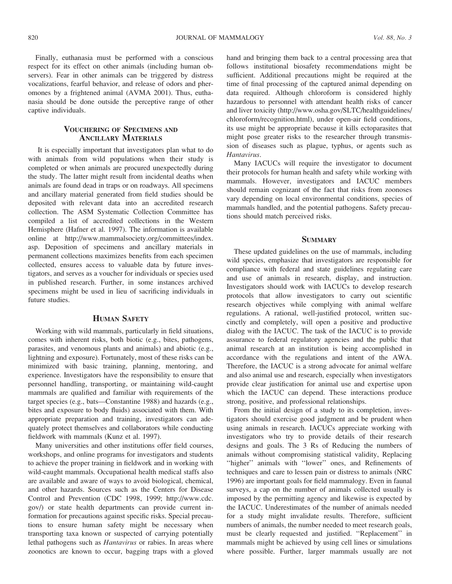Finally, euthanasia must be performed with a conscious respect for its effect on other animals (including human observers). Fear in other animals can be triggered by distress vocalizations, fearful behavior, and release of odors and pheromones by a frightened animal (AVMA 2001). Thus, euthanasia should be done outside the perceptive range of other captive individuals.

## VOUCHERING OF SPECIMENS AND ANCILLARY MATERIALS

It is especially important that investigators plan what to do with animals from wild populations when their study is completed or when animals are procured unexpectedly during the study. The latter might result from incidental deaths when animals are found dead in traps or on roadways. All specimens and ancillary material generated from field studies should be deposited with relevant data into an accredited research collection. The ASM Systematic Collection Committee has compiled a list of accredited collections in the Western Hemisphere (Hafner et al. 1997). The information is available online at http://www.mammalsociety.org/committees/index. asp. Deposition of specimens and ancillary materials in permanent collections maximizes benefits from each specimen collected, ensures access to valuable data by future investigators, and serves as a voucher for individuals or species used in published research. Further, in some instances archived specimens might be used in lieu of sacrificing individuals in future studies.

## **HUMAN SAFETY**

Working with wild mammals, particularly in field situations, comes with inherent risks, both biotic (e.g., bites, pathogens, parasites, and venomous plants and animals) and abiotic (e.g., lightning and exposure). Fortunately, most of these risks can be minimized with basic training, planning, mentoring, and experience. Investigators have the responsibility to ensure that personnel handling, transporting, or maintaining wild-caught mammals are qualified and familiar with requirements of the target species (e.g., bats—Constantine 1988) and hazards (e.g., bites and exposure to body fluids) associated with them. With appropriate preparation and training, investigators can adequately protect themselves and collaborators while conducting fieldwork with mammals (Kunz et al. 1997).

Many universities and other institutions offer field courses, workshops, and online programs for investigators and students to achieve the proper training in fieldwork and in working with wild-caught mammals. Occupational health medical staffs also are available and aware of ways to avoid biological, chemical, and other hazards. Sources such as the Centers for Disease Control and Prevention (CDC 1998, 1999; http://www.cdc. gov/) or state health departments can provide current information for precautions against specific risks. Special precautions to ensure human safety might be necessary when transporting taxa known or suspected of carrying potentially lethal pathogens such as Hantavirus or rabies. In areas where zoonotics are known to occur, bagging traps with a gloved

hand and bringing them back to a central processing area that follows institutional biosafety recommendations might be sufficient. Additional precautions might be required at the time of final processing of the captured animal depending on data required. Although chloroform is considered highly hazardous to personnel with attendant health risks of cancer and liver toxicity (http://www.osha.gov/SLTC/healthguidelines/ chloroform/recognition.html), under open-air field conditions, its use might be appropriate because it kills ectoparasites that might pose greater risks to the researcher through transmission of diseases such as plague, typhus, or agents such as Hantavirus.

Many IACUCs will require the investigator to document their protocols for human health and safety while working with mammals. However, investigators and IACUC members should remain cognizant of the fact that risks from zoonoses vary depending on local environmental conditions, species of mammals handled, and the potential pathogens. Safety precautions should match perceived risks.

#### **SUMMARY**

These updated guidelines on the use of mammals, including wild species, emphasize that investigators are responsible for compliance with federal and state guidelines regulating care and use of animals in research, display, and instruction. Investigators should work with IACUCs to develop research protocols that allow investigators to carry out scientific research objectives while complying with animal welfare regulations. A rational, well-justified protocol, written succinctly and completely, will open a positive and productive dialog with the IACUC. The task of the IACUC is to provide assurance to federal regulatory agencies and the public that animal research at an institution is being accomplished in accordance with the regulations and intent of the AWA. Therefore, the IACUC is a strong advocate for animal welfare and also animal use and research, especially when investigators provide clear justification for animal use and expertise upon which the IACUC can depend. These interactions produce strong, positive, and professional relationships.

From the initial design of a study to its completion, investigators should exercise good judgment and be prudent when using animals in research. IACUCs appreciate working with investigators who try to provide details of their research designs and goals. The 3 Rs of Reducing the numbers of animals without compromising statistical validity, Replacing ''higher'' animals with ''lower'' ones, and Refinements of techniques and care to lessen pain or distress to animals (NRC 1996) are important goals for field mammalogy. Even in faunal surveys, a cap on the number of animals collected usually is imposed by the permitting agency and likewise is expected by the IACUC. Underestimates of the number of animals needed for a study might invalidate results. Therefore, sufficient numbers of animals, the number needed to meet research goals, must be clearly requested and justified. ''Replacement'' in mammals might be achieved by using cell lines or simulations where possible. Further, larger mammals usually are not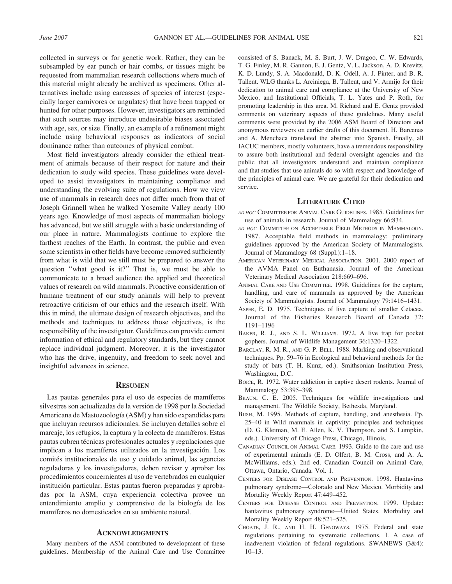collected in surveys or for genetic work. Rather, they can be subsampled by ear punch or hair combs, or tissues might be requested from mammalian research collections where much of this material might already be archived as specimens. Other alternatives include using carcasses of species of interest (especially larger carnivores or ungulates) that have been trapped or hunted for other purposes. However, investigators are reminded that such sources may introduce undesirable biases associated with age, sex, or size. Finally, an example of a refinement might include using behavioral responses as indicators of social dominance rather than outcomes of physical combat.

Most field investigators already consider the ethical treatment of animals because of their respect for nature and their dedication to study wild species. These guidelines were developed to assist investigators in maintaining compliance and understanding the evolving suite of regulations. How we view use of mammals in research does not differ much from that of Joseph Grinnell when he walked Yosemite Valley nearly 100 years ago. Knowledge of most aspects of mammalian biology has advanced, but we still struggle with a basic understanding of our place in nature. Mammalogists continue to explore the farthest reaches of the Earth. In contrast, the public and even some scientists in other fields have become removed sufficiently from what is wild that we still must be prepared to answer the question ''what good is it?'' That is, we must be able to communicate to a broad audience the applied and theoretical values of research on wild mammals. Proactive consideration of humane treatment of our study animals will help to prevent retroactive criticism of our ethics and the research itself. With this in mind, the ultimate design of research objectives, and the methods and techniques to address those objectives, is the responsibility of the investigator. Guidelines can provide current information of ethical and regulatory standards, but they cannot replace individual judgment. Moreover, it is the investigator who has the drive, ingenuity, and freedom to seek novel and insightful advances in science.

#### **RESUMEN**

Las pautas generales para el uso de especies de mamíferos silvestres son actualizadas de la versión de 1998 por la Sociedad Americana de Mastozoología (ASM) y han sido expandidas para que incluyan recursos adicionales. Se incluyen detalles sobre el marcaje, los refugios, la captura y la colecta de mamíferos. Estas pautas cubren técnicas profesionales actuales y regulaciones que implican a los mamíferos utilizados en la investigación. Los comités institucionales de uso y cuidado animal, las agencias reguladoras y los investigadores, deben revisar y aprobar los procedimientos concernientes al uso de vertebrados en cualquier institución particular. Estas pautas fueron preparadas y aprobadas por la ASM, cuya experiencia colectiva provee un entendimiento amplio y comprensivo de la biología de los mamı´feros no domesticados en su ambiente natural.

#### ACKNOWLEDGMENTS

Many members of the ASM contributed to development of these guidelines. Membership of the Animal Care and Use Committee consisted of S. Banack, M. S. Burt, J. W. Dragoo, C. W. Edwards, T. G. Finley, M. R. Gannon, E. J. Gentz, V. L. Jackson, A. D. Krevitz, K. D. Lundy, S. A. Macdonald, D. K. Odell, A. J. Pinter, and B. R. Tallent. WLG thanks L. Arciniega, B. Tallent, and V. Armijo for their dedication to animal care and compliance at the University of New Mexico, and Institutional Officials, T. L. Yates and P. Roth, for promoting leadership in this area. M. Richard and E. Gentz provided comments on veterinary aspects of these guidelines. Many useful comments were provided by the 2006 ASM Board of Directors and anonymous reviewers on earlier drafts of this document. H. Barcenas and A. Menchaca translated the abstract into Spanish. Finally, all IACUC members, mostly volunteers, have a tremendous responsibility to assure both institutional and federal oversight agencies and the public that all investigators understand and maintain compliance and that studies that use animals do so with respect and knowledge of the principles of animal care. We are grateful for their dedication and service.

## LITERATURE CITED

- AD HOC COMMITTEE FOR ANIMAL CARE GUIDELINES. 1985. Guidelines for use of animals in research. Journal of Mammalogy 66:834.
- AD HOC COMMITTEE ON ACCEPTABLE FIELD METHODS IN MAMMALOGY. 1987. Acceptable field methods in mammalogy: preliminary guidelines approved by the American Society of Mammalogists. Journal of Mammalogy 68 (Suppl.):1–18.
- AMERICAN VETERINARY MEDICAL ASSOCIATION. 2001. 2000 report of the AVMA Panel on Euthanasia. Journal of the American Veterinary Medical Association 218:669–696.
- ANIMAL CARE AND USE COMMITTEE. 1998. Guidelines for the capture, handling, and care of mammals as approved by the American Society of Mammalogists. Journal of Mammalogy 79:1416–1431.
- ASPER, E. D. 1975. Techniques of live capture of smaller Cetacea. Journal of the Fisheries Research Board of Canada 32: 1191–1196
- BAKER, R. J., AND S. L. WILLIAMS. 1972. A live trap for pocket gophers. Journal of Wildlife Management 36:1320–1322.
- BARCLAY, R. M. R., AND G. P. BELL. 1988. Marking and observational techniques. Pp. 59–76 in Ecological and behavioral methods for the study of bats (T. H. Kunz, ed.). Smithsonian Institution Press, Washington, D.C.
- BOICE, R. 1972. Water addiction in captive desert rodents. Journal of Mammalogy 53:395–398.
- BRAUN, C. E. 2005. Techniques for wildlife investigations and management. The Wildlife Society, Bethesda, Maryland.
- BUSH, M. 1995. Methods of capture, handling, and anesthesia. Pp. 25–40 in Wild mammals in captivity: principles and techniques (D. G. Kleiman, M. E. Allen, K. V. Thompson, and S. Lumpkin, eds.). University of Chicago Press, Chicago, Illinois.
- CANADIAN COUNCIL ON ANIMAL CARE. 1993. Guide to the care and use of experimental animals (E. D. Olfert, B. M. Cross, and A. A. McWilliams, eds.). 2nd ed. Canadian Council on Animal Care, Ottawa, Ontario, Canada. Vol. 1.
- CENTERS FOR DISEASE CONTROL AND PREVENTION. 1998. Hantavirus pulmonary syndrome—Colorado and New Mexico. Morbidity and Mortality Weekly Report 47:449–452.
- CENTERS FOR DISEASE CONTROL AND PREVENTION. 1999. Update: hantavirus pulmonary syndrome—United States. Morbidity and Mortality Weekly Report 48:521–525.
- CHOATE, J. R., AND H. H. GENOWAYS. 1975. Federal and state regulations pertaining to systematic collections. I. A case of inadvertent violation of federal regulations. SWANEWS (3&4):  $10-13$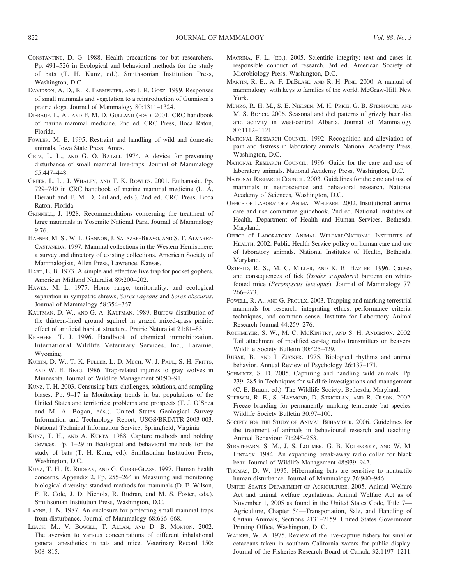- CONSTANTINE, D. G. 1988. Health precautions for bat researchers. Pp. 491–526 in Ecological and behavioral methods for the study of bats (T. H. Kunz, ed.). Smithsonian Institution Press, Washington, D.C.
- DAVIDSON, A. D., R. R. PARMENTER, AND J. R. GOSZ. 1999. Responses of small mammals and vegetation to a reintroduction of Gunnison's prairie dogs. Journal of Mammalogy 80:1311–1324.
- DIERAUF, L. A., AND F. M. D. GULLAND (EDS.). 2001. CRC handbook of marine mammal medicine. 2nd ed. CRC Press, Boca Raton, Florida.
- FOWLER, M. E. 1995. Restraint and handling of wild and domestic animals. Iowa State Press, Ames.
- GETZ, L. L., AND G. O. BATZLI. 1974. A device for preventing disturbance of small mammal live-traps. Journal of Mammalogy 55:447–448.
- GREER, L. L., J. WHALEY, AND T. K. ROWLES. 2001. Euthanasia. Pp. 729–740 in CRC handbook of marine mammal medicine (L. A. Dierauf and F. M. D. Gulland, eds.). 2nd ed. CRC Press, Boca Raton, Florida.
- GRINNELL, J. 1928. Recommendations concerning the treatment of large mammals in Yosemite National Park. Journal of Mammalogy 9:76.
- HAFNER, M. S., W. L. GANNON, J. SALAZAR-BRAVO, AND S. T. ALVAREZ-CASTAÑEDA. 1997. Mammal collections in the Western Hemisphere: a survey and directory of existing collections. American Society of Mammalogists, Allen Press, Lawrence, Kansas.
- HART, E. B. 1973. A simple and effective live trap for pocket gophers. American Midland Naturalist 89:200–202.
- HAWES, M. L. 1977. Home range, territoriality, and ecological separation in sympatric shrews, Sorex vagrans and Sorex obscurus. Journal of Mammalogy 58:354–367.
- KAUFMAN, D. W., AND G. A. KAUFMAN. 1989. Burrow distribution of the thirteen-lined ground squirrel in grazed mixed-grass prairie: effect of artificial habitat structure. Prairie Naturalist 21:81–83.
- KREEGER, T. J. 1996. Handbook of chemical immobilization. International Wildlife Veterinary Services, Inc., Laramie, Wyoming.
- KUEHN, D. W., T. K. FULLER, L. D. MECH, W. J. PAUL, S. H. FRITTS, AND W. E. BERG. 1986. Trap-related injuries to gray wolves in Minnesota. Journal of Wildlife Management 50:90–91.
- KUNZ, T. H. 2003. Censusing bats: challenges, solutions, and sampling biases. Pp. 9–17 in Monitoring trends in bat populations of the United States and territories: problems and prospects (T. J. O'Shea and M. A. Bogan, eds.). United States Geological Survey Information and Technology Report, USGS/BRD/ITR-2003-003. National Technical Information Service, Springfield, Virginia.
- KUNZ, T. H., AND A. KURTA. 1988. Capture methods and holding devices. Pp. 1–29 in Ecological and behavioral methods for the study of bats (T. H. Kunz, ed.). Smithsonian Institution Press, Washington, D.C.
- KUNZ, T. H., R. RUDRAN, AND G. GURRI-GLASS. 1997. Human health concerns. Appendix 2. Pp. 255–264 in Measuring and monitoring biological diversity: standard methods for mammals (D. E. Wilson, F. R. Cole, J. D. Nichols, R. Rudran, and M. S. Foster, eds.). Smithsonian Institution Press, Washington, D.C.
- LAYNE, J. N. 1987. An enclosure for protecting small mammal traps from disturbance. Journal of Mammalogy 68:666–668.
- LEACH, M., V. BOWELL, T. ALLAN, AND D. B. MORTON. 2002. The aversion to various concentrations of different inhalational general anesthetics in rats and mice. Veterinary Record 150: 808–815.
- MACRINA, F. L. (ED.). 2005. Scientific integrity: text and cases in responsible conduct of research. 3rd ed. American Society of Microbiology Press, Washington, D.C.
- MARTIN, R. E., A. F. DEBLASE, AND R. H. PINE. 2000. A manual of mammalogy: with keys to families of the world. McGraw-Hill, New York.
- MUNRO, R. H. M., S. E. NIELSEN, M. H. PRICE, G. B. STENHOUSE, AND M. S. BOYCE. 2006. Seasonal and diel patterns of grizzly bear diet and activity in west-central Alberta. Journal of Mammalogy 87:1112–1121.
- NATIONAL RESEARCH COUNCIL. 1992. Recognition and alleviation of pain and distress in laboratory animals. National Academy Press, Washington, D.C.
- NATIONAL RESEARCH COUNCIL. 1996. Guide for the care and use of laboratory animals. National Academy Press, Washington, D.C.
- NATIONAL RESEARCH COUNCIL. 2003. Guidelines for the care and use of mammals in neuroscience and behavioral research. National Academy of Sciences, Washington, D.C.
- OFFICE OF LABORATORY ANIMAL WELFARE. 2002. Institutional animal care and use committee guidebook. 2nd ed. National Institutes of Health, Department of Health and Human Services, Bethesda, Maryland.
- OFFICE of LABORATORY ANIMAL WELFARE/NATIONAL INSTITUTES of HEALTH. 2002. Public Health Service policy on human care and use of laboratory animals. National Institutes of Health, Bethesda, Maryland.
- OSTFELD, R. S., M. C. MILLER, AND K. R. HAZLER. 1996. Causes and consequences of tick (Ixodes scapularis) burdens on whitefooted mice (Peromyscus leucopus). Journal of Mammalogy 77: 266–273.
- POWELL, R. A., AND G. PROULX. 2003. Trapping and marking terrestrial mammals for research: integrating ethics, performance criteria, techniques, and common sense. Institute for Laboratory Animal Research Journal 44:259–276.
- ROTHMEYER, S. W., M. C. MCKINSTRY, AND S. H. ANDERSON. 2002. Tail attachment of modified ear-tag radio transmitters on beavers. Wildlife Society Bulletin 30:425–429.
- RUSAK, B., AND I. ZUCKER. 1975. Biological rhythms and animal behavior. Annual Review of Psychology 26:137–171.
- SCHMINTZ, S. D. 2005. Capturing and handling wild animals. Pp. 239–285 in Techniques for wildlife investigations and management (C. E. Braun, ed.). The Wildlife Society, Bethesda, Maryland.
- SHERWIN, R. E., S. HAYMOND, D. STRICKLAN, AND R. OLSON. 2002. Freeze branding for permanently marking temperate bat species. Wildlife Society Bulletin 30:97–100.
- SOCIETY FOR THE STUDY OF ANIMAL BEHAVIOUR. 2006. Guidelines for the treatment of animals in behavioural research and teaching. Animal Behaviour 71:245–253.
- STRATHEARN, S. M., J. S. LOTIMER, G. B. KOLENOSKY, AND W. M. LINTACK. 1984. An expanding break-away radio collar for black bear. Journal of Wildlife Management 48:939–942.
- THOMAS, D. W. 1995. Hibernating bats are sensitive to nontactile human disturbance. Journal of Mammalogy 76:940–946.
- UNITED STATES DEPARTMENT OF AGRICULTURE. 2005. Animal Welfare Act and animal welfare regulations. Animal Welfare Act as of November 1, 2005 as found in the United States Code, Title 7— Agriculture, Chapter 54—Transportation, Sale, and Handling of Certain Animals, Sections 2131–2159. United States Government Printing Office, Washington, D. C.
- WALKER, W. A. 1975. Review of the live-capture fishery for smaller cetaceans taken in southern California waters for public display. Journal of the Fisheries Research Board of Canada 32:1197–1211.